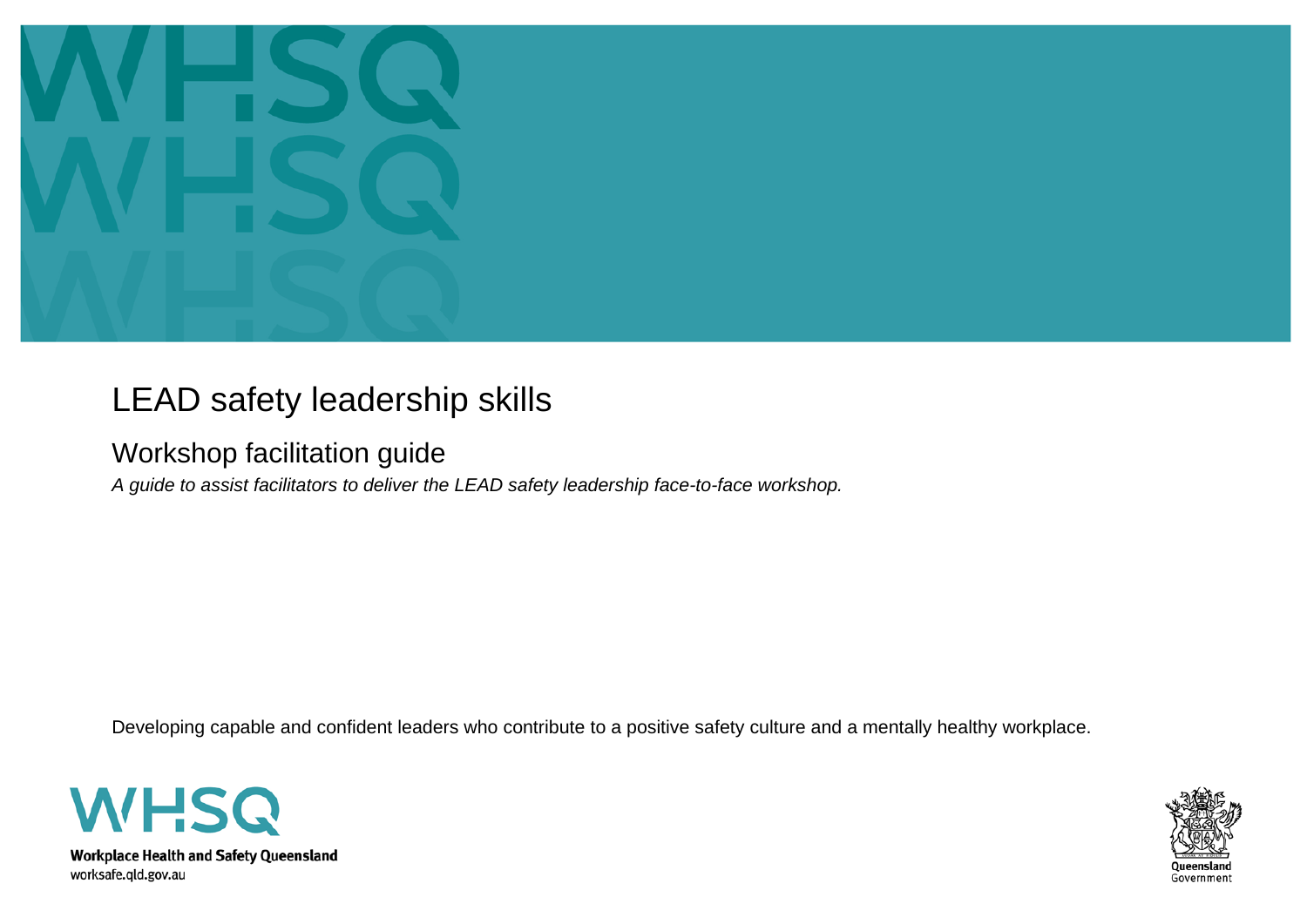

## LEAD safety leadership skills

## Workshop facilitation guide

*A guide to assist facilitators to deliver the LEAD safety leadership face-to-face workshop.*

Developing capable and confident leaders who contribute to a positive safety culture and a mentally healthy workplace.





**Workplace Health and Safety Queensland** worksafe.qld.gov.au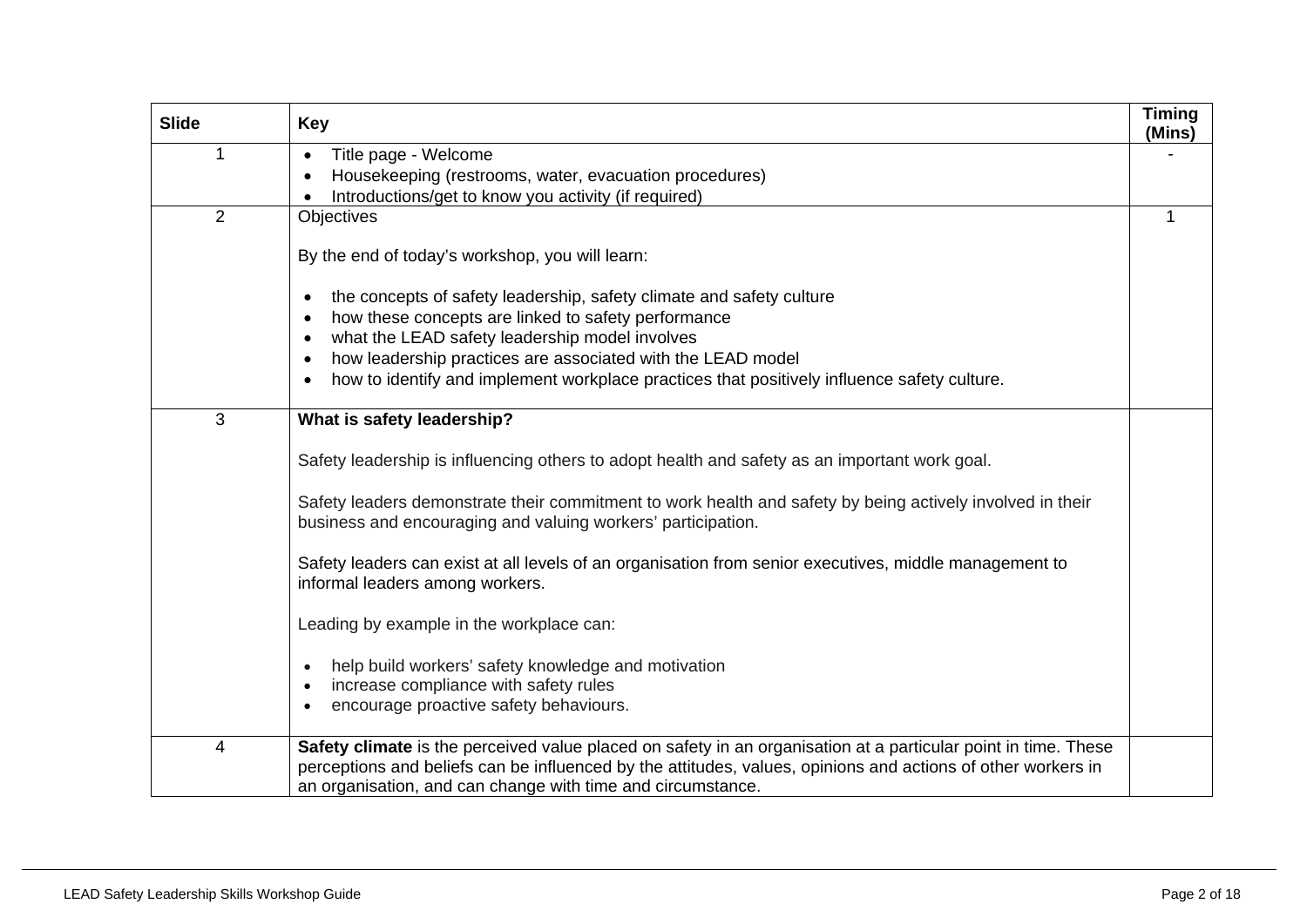| <b>Slide</b>   | <b>Key</b>                                                                                                                                                                                                                                                                                    | <b>Timing</b><br>(Mins) |
|----------------|-----------------------------------------------------------------------------------------------------------------------------------------------------------------------------------------------------------------------------------------------------------------------------------------------|-------------------------|
|                | Title page - Welcome<br>$\bullet$                                                                                                                                                                                                                                                             |                         |
|                | Housekeeping (restrooms, water, evacuation procedures)                                                                                                                                                                                                                                        |                         |
|                | Introductions/get to know you activity (if required)                                                                                                                                                                                                                                          |                         |
| $\overline{2}$ | Objectives                                                                                                                                                                                                                                                                                    | 1                       |
|                | By the end of today's workshop, you will learn:                                                                                                                                                                                                                                               |                         |
|                | the concepts of safety leadership, safety climate and safety culture                                                                                                                                                                                                                          |                         |
|                | how these concepts are linked to safety performance                                                                                                                                                                                                                                           |                         |
|                | what the LEAD safety leadership model involves                                                                                                                                                                                                                                                |                         |
|                | how leadership practices are associated with the LEAD model                                                                                                                                                                                                                                   |                         |
|                | how to identify and implement workplace practices that positively influence safety culture.                                                                                                                                                                                                   |                         |
| 3              | What is safety leadership?                                                                                                                                                                                                                                                                    |                         |
|                | Safety leadership is influencing others to adopt health and safety as an important work goal.                                                                                                                                                                                                 |                         |
|                | Safety leaders demonstrate their commitment to work health and safety by being actively involved in their<br>business and encouraging and valuing workers' participation.                                                                                                                     |                         |
|                | Safety leaders can exist at all levels of an organisation from senior executives, middle management to<br>informal leaders among workers.                                                                                                                                                     |                         |
|                | Leading by example in the workplace can:                                                                                                                                                                                                                                                      |                         |
|                | help build workers' safety knowledge and motivation<br>increase compliance with safety rules                                                                                                                                                                                                  |                         |
|                | encourage proactive safety behaviours.                                                                                                                                                                                                                                                        |                         |
| 4              | Safety climate is the perceived value placed on safety in an organisation at a particular point in time. These<br>perceptions and beliefs can be influenced by the attitudes, values, opinions and actions of other workers in<br>an organisation, and can change with time and circumstance. |                         |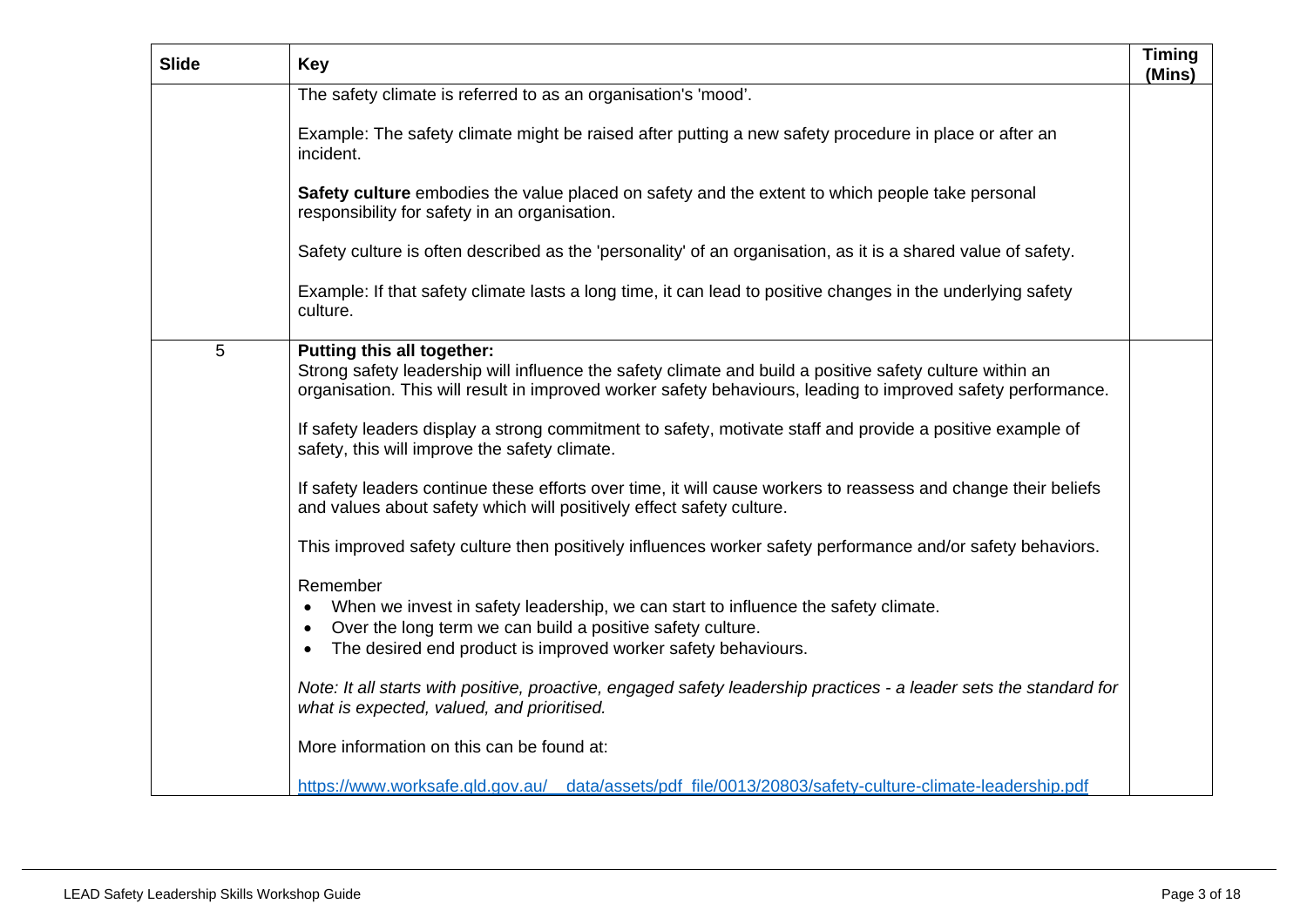| <b>Slide</b> | <b>Key</b>                                                                                                                                                                                                                                                    | <b>Timing</b><br>(Mins) |
|--------------|---------------------------------------------------------------------------------------------------------------------------------------------------------------------------------------------------------------------------------------------------------------|-------------------------|
|              | The safety climate is referred to as an organisation's 'mood'.                                                                                                                                                                                                |                         |
|              | Example: The safety climate might be raised after putting a new safety procedure in place or after an<br>incident.                                                                                                                                            |                         |
|              | Safety culture embodies the value placed on safety and the extent to which people take personal<br>responsibility for safety in an organisation.                                                                                                              |                         |
|              | Safety culture is often described as the 'personality' of an organisation, as it is a shared value of safety.                                                                                                                                                 |                         |
|              | Example: If that safety climate lasts a long time, it can lead to positive changes in the underlying safety<br>culture.                                                                                                                                       |                         |
| 5            | <b>Putting this all together:</b><br>Strong safety leadership will influence the safety climate and build a positive safety culture within an<br>organisation. This will result in improved worker safety behaviours, leading to improved safety performance. |                         |
|              | If safety leaders display a strong commitment to safety, motivate staff and provide a positive example of<br>safety, this will improve the safety climate.                                                                                                    |                         |
|              | If safety leaders continue these efforts over time, it will cause workers to reassess and change their beliefs<br>and values about safety which will positively effect safety culture.                                                                        |                         |
|              | This improved safety culture then positively influences worker safety performance and/or safety behaviors.                                                                                                                                                    |                         |
|              | Remember<br>When we invest in safety leadership, we can start to influence the safety climate.<br>Over the long term we can build a positive safety culture.<br>$\bullet$<br>The desired end product is improved worker safety behaviours.<br>$\bullet$       |                         |
|              | Note: It all starts with positive, proactive, engaged safety leadership practices - a leader sets the standard for<br>what is expected, valued, and prioritised.                                                                                              |                         |
|              | More information on this can be found at:                                                                                                                                                                                                                     |                         |
|              | https://www.worksafe.qld.gov.au/ data/assets/pdf_file/0013/20803/safety-culture-climate-leadership.pdf                                                                                                                                                        |                         |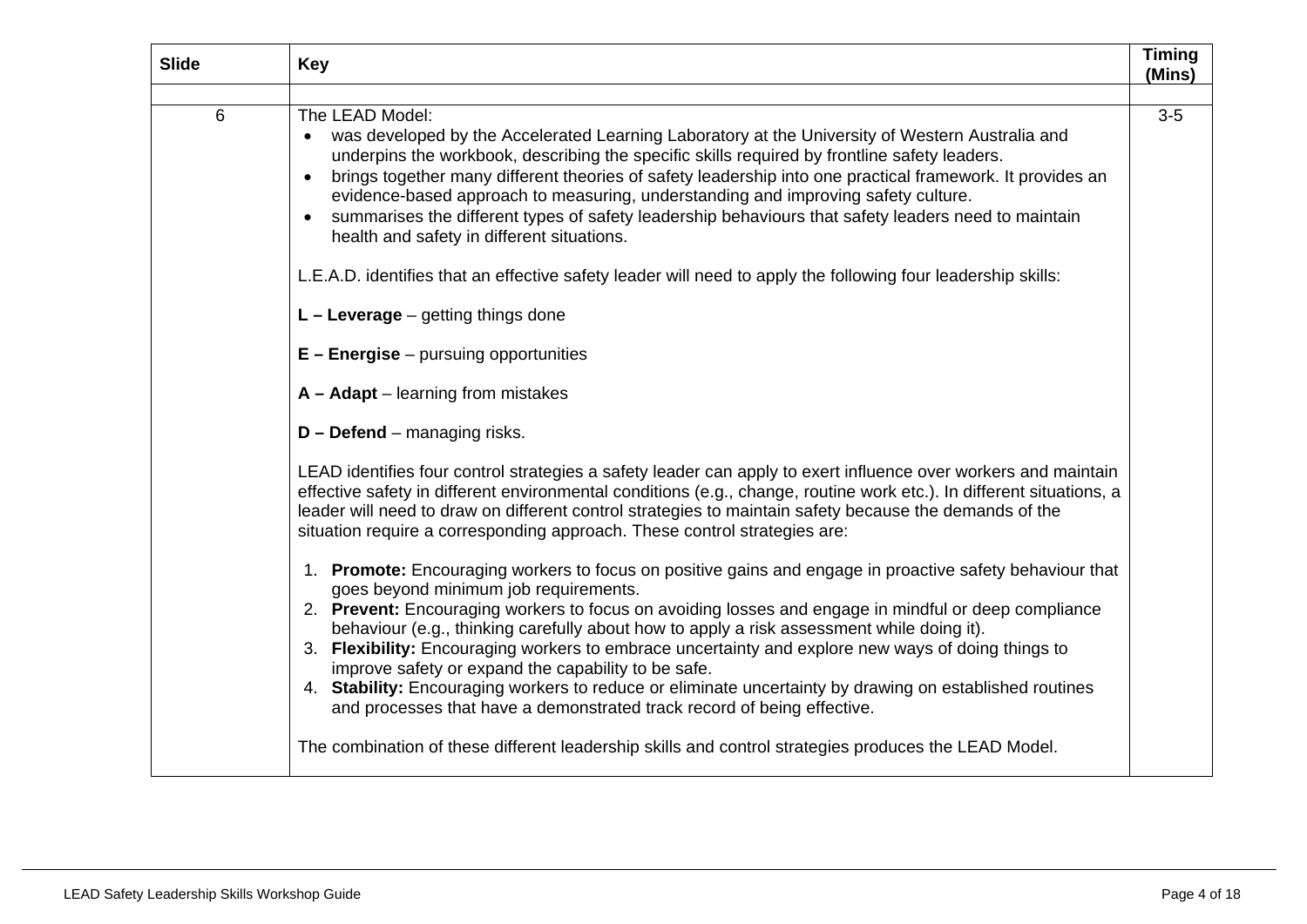| <b>Slide</b> | <b>Key</b>                                                                                                                                                                                                                                                                                                                                                                                                                                                                                                                                                                                                                                                                                                                                                                                                                                                                                                                                                                                                                                                                                                                       | <b>Timing</b><br>(Mins) |
|--------------|----------------------------------------------------------------------------------------------------------------------------------------------------------------------------------------------------------------------------------------------------------------------------------------------------------------------------------------------------------------------------------------------------------------------------------------------------------------------------------------------------------------------------------------------------------------------------------------------------------------------------------------------------------------------------------------------------------------------------------------------------------------------------------------------------------------------------------------------------------------------------------------------------------------------------------------------------------------------------------------------------------------------------------------------------------------------------------------------------------------------------------|-------------------------|
| 6            | The LEAD Model:<br>was developed by the Accelerated Learning Laboratory at the University of Western Australia and<br>underpins the workbook, describing the specific skills required by frontline safety leaders.<br>brings together many different theories of safety leadership into one practical framework. It provides an<br>$\bullet$<br>evidence-based approach to measuring, understanding and improving safety culture.<br>summarises the different types of safety leadership behaviours that safety leaders need to maintain<br>$\bullet$<br>health and safety in different situations.<br>L.E.A.D. identifies that an effective safety leader will need to apply the following four leadership skills:<br>$L -$ Leverage – getting things done<br>E - Energise - pursuing opportunities                                                                                                                                                                                                                                                                                                                             | $3-5$                   |
|              | $A -$ Adapt $-$ learning from mistakes<br>$D$ – Defend – managing risks.<br>LEAD identifies four control strategies a safety leader can apply to exert influence over workers and maintain                                                                                                                                                                                                                                                                                                                                                                                                                                                                                                                                                                                                                                                                                                                                                                                                                                                                                                                                       |                         |
|              | effective safety in different environmental conditions (e.g., change, routine work etc.). In different situations, a<br>leader will need to draw on different control strategies to maintain safety because the demands of the<br>situation require a corresponding approach. These control strategies are:<br>1. Promote: Encouraging workers to focus on positive gains and engage in proactive safety behaviour that<br>goes beyond minimum job requirements.<br>2. Prevent: Encouraging workers to focus on avoiding losses and engage in mindful or deep compliance<br>behaviour (e.g., thinking carefully about how to apply a risk assessment while doing it).<br>3. Flexibility: Encouraging workers to embrace uncertainty and explore new ways of doing things to<br>improve safety or expand the capability to be safe.<br>4. Stability: Encouraging workers to reduce or eliminate uncertainty by drawing on established routines<br>and processes that have a demonstrated track record of being effective.<br>The combination of these different leadership skills and control strategies produces the LEAD Model. |                         |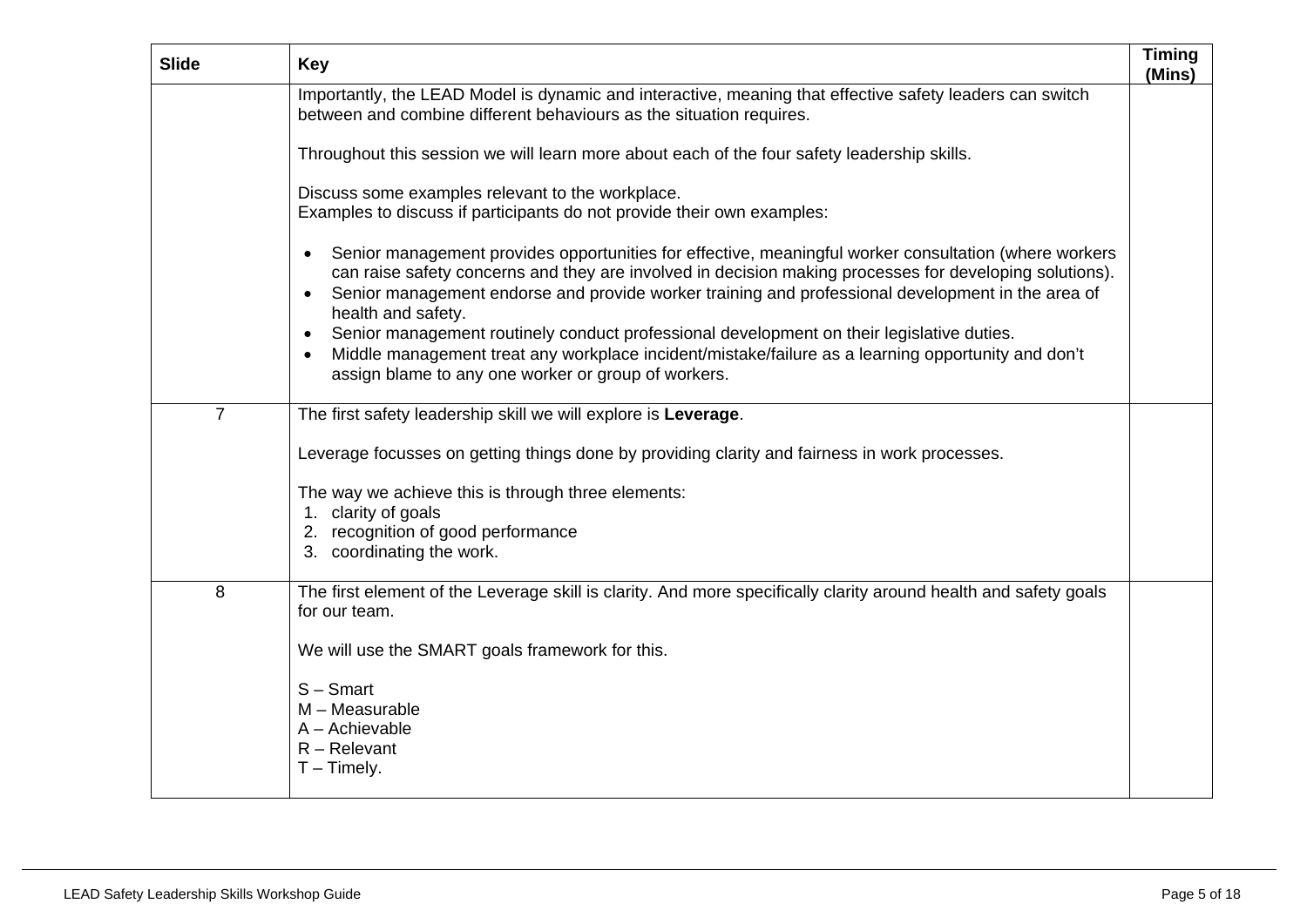| <b>Slide</b>   | <b>Key</b>                                                                                                                                                                                                                                                                                                                                                                                                                                            | <b>Timing</b><br>(Mins) |
|----------------|-------------------------------------------------------------------------------------------------------------------------------------------------------------------------------------------------------------------------------------------------------------------------------------------------------------------------------------------------------------------------------------------------------------------------------------------------------|-------------------------|
|                | Importantly, the LEAD Model is dynamic and interactive, meaning that effective safety leaders can switch<br>between and combine different behaviours as the situation requires.                                                                                                                                                                                                                                                                       |                         |
|                | Throughout this session we will learn more about each of the four safety leadership skills.                                                                                                                                                                                                                                                                                                                                                           |                         |
|                | Discuss some examples relevant to the workplace.<br>Examples to discuss if participants do not provide their own examples:                                                                                                                                                                                                                                                                                                                            |                         |
|                | Senior management provides opportunities for effective, meaningful worker consultation (where workers<br>can raise safety concerns and they are involved in decision making processes for developing solutions).<br>Senior management endorse and provide worker training and professional development in the area of<br>$\bullet$<br>health and safety.<br>Senior management routinely conduct professional development on their legislative duties. |                         |
|                | Middle management treat any workplace incident/mistake/failure as a learning opportunity and don't<br>assign blame to any one worker or group of workers.                                                                                                                                                                                                                                                                                             |                         |
| $\overline{7}$ | The first safety leadership skill we will explore is Leverage.                                                                                                                                                                                                                                                                                                                                                                                        |                         |
|                | Leverage focusses on getting things done by providing clarity and fairness in work processes.                                                                                                                                                                                                                                                                                                                                                         |                         |
|                | The way we achieve this is through three elements:<br>1. clarity of goals                                                                                                                                                                                                                                                                                                                                                                             |                         |
|                | 2. recognition of good performance<br>3. coordinating the work.                                                                                                                                                                                                                                                                                                                                                                                       |                         |
| 8              | The first element of the Leverage skill is clarity. And more specifically clarity around health and safety goals<br>for our team.                                                                                                                                                                                                                                                                                                                     |                         |
|                | We will use the SMART goals framework for this.                                                                                                                                                                                                                                                                                                                                                                                                       |                         |
|                | $S -$ Smart<br>$M - Measurable$                                                                                                                                                                                                                                                                                                                                                                                                                       |                         |
|                | A - Achievable<br>$R -$ Relevant<br>$T -$ Timely.                                                                                                                                                                                                                                                                                                                                                                                                     |                         |
|                |                                                                                                                                                                                                                                                                                                                                                                                                                                                       |                         |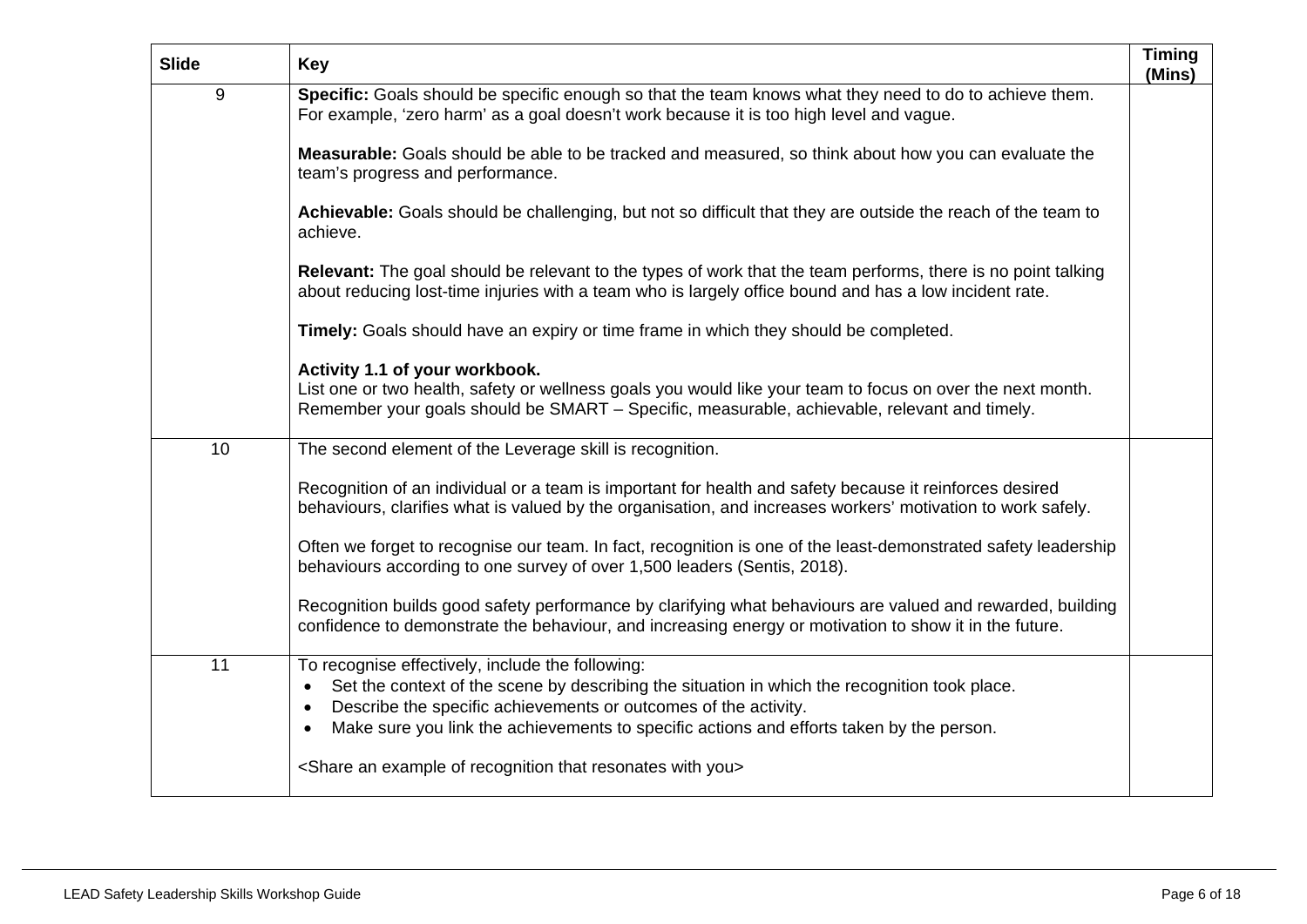| <b>Slide</b> | <b>Key</b>                                                                                                                                                                                                                                                                                                                                              | <b>Timing</b><br>(Mins) |
|--------------|---------------------------------------------------------------------------------------------------------------------------------------------------------------------------------------------------------------------------------------------------------------------------------------------------------------------------------------------------------|-------------------------|
| 9            | Specific: Goals should be specific enough so that the team knows what they need to do to achieve them.<br>For example, 'zero harm' as a goal doesn't work because it is too high level and vague.                                                                                                                                                       |                         |
|              | <b>Measurable:</b> Goals should be able to be tracked and measured, so think about how you can evaluate the<br>team's progress and performance.                                                                                                                                                                                                         |                         |
|              | Achievable: Goals should be challenging, but not so difficult that they are outside the reach of the team to<br>achieve.                                                                                                                                                                                                                                |                         |
|              | Relevant: The goal should be relevant to the types of work that the team performs, there is no point talking<br>about reducing lost-time injuries with a team who is largely office bound and has a low incident rate.                                                                                                                                  |                         |
|              | Timely: Goals should have an expiry or time frame in which they should be completed.                                                                                                                                                                                                                                                                    |                         |
|              | Activity 1.1 of your workbook.<br>List one or two health, safety or wellness goals you would like your team to focus on over the next month.<br>Remember your goals should be SMART - Specific, measurable, achievable, relevant and timely.                                                                                                            |                         |
| 10           | The second element of the Leverage skill is recognition.                                                                                                                                                                                                                                                                                                |                         |
|              | Recognition of an individual or a team is important for health and safety because it reinforces desired<br>behaviours, clarifies what is valued by the organisation, and increases workers' motivation to work safely.                                                                                                                                  |                         |
|              | Often we forget to recognise our team. In fact, recognition is one of the least-demonstrated safety leadership<br>behaviours according to one survey of over 1,500 leaders (Sentis, 2018).                                                                                                                                                              |                         |
|              | Recognition builds good safety performance by clarifying what behaviours are valued and rewarded, building<br>confidence to demonstrate the behaviour, and increasing energy or motivation to show it in the future.                                                                                                                                    |                         |
| 11           | To recognise effectively, include the following:<br>Set the context of the scene by describing the situation in which the recognition took place.<br>$\bullet$<br>Describe the specific achievements or outcomes of the activity.<br>$\bullet$<br>Make sure you link the achievements to specific actions and efforts taken by the person.<br>$\bullet$ |                         |
|              | <share an="" example="" of="" recognition="" resonates="" that="" with="" you=""></share>                                                                                                                                                                                                                                                               |                         |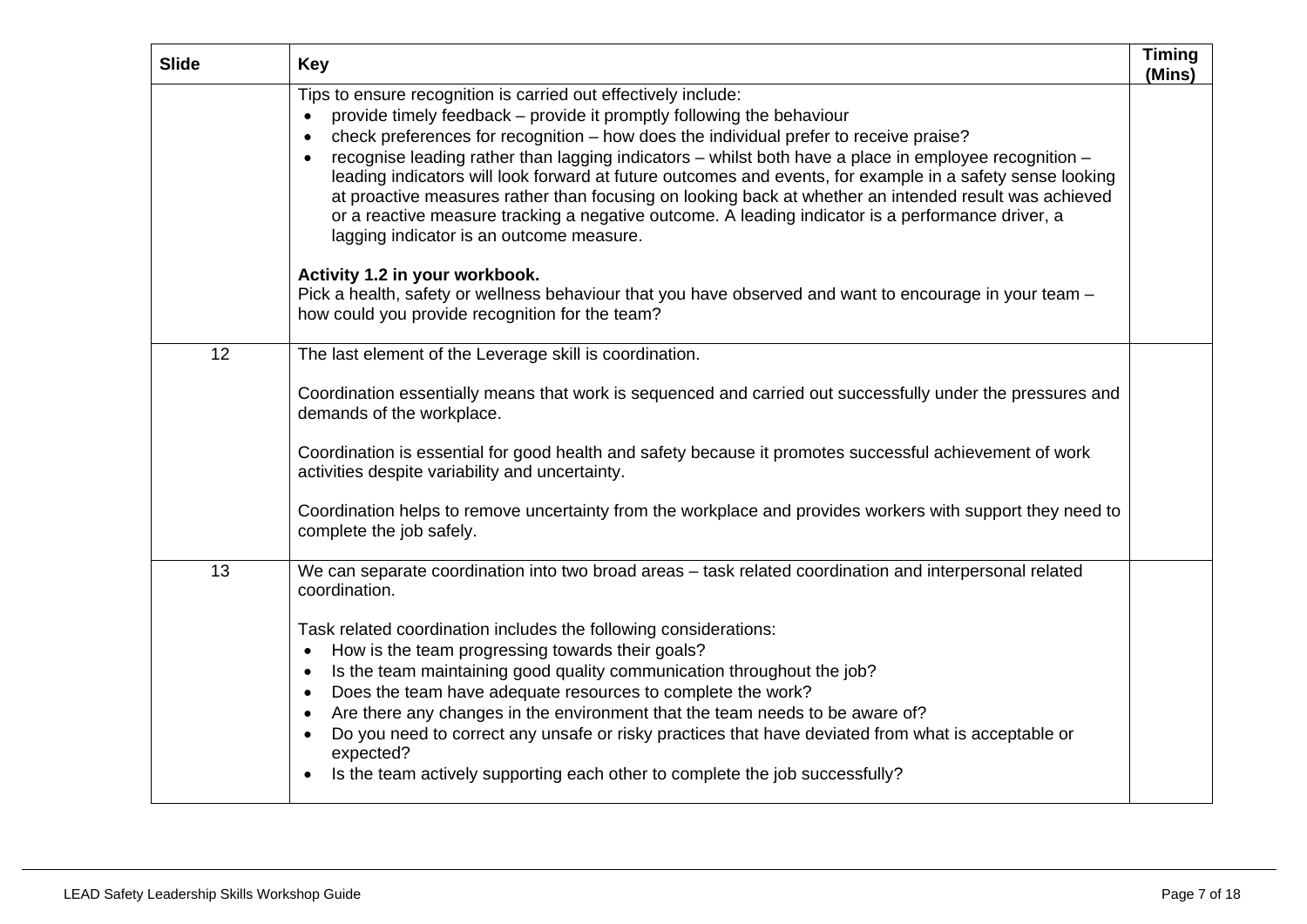| <b>Slide</b> | Key                                                                                                                                                                                                                                                                                                                                                                                                                                                                                                                                                                                                                                                                                                              | <b>Timing</b><br>(Mins) |
|--------------|------------------------------------------------------------------------------------------------------------------------------------------------------------------------------------------------------------------------------------------------------------------------------------------------------------------------------------------------------------------------------------------------------------------------------------------------------------------------------------------------------------------------------------------------------------------------------------------------------------------------------------------------------------------------------------------------------------------|-------------------------|
|              | Tips to ensure recognition is carried out effectively include:<br>provide timely feedback – provide it promptly following the behaviour<br>check preferences for recognition - how does the individual prefer to receive praise?<br>recognise leading rather than lagging indicators - whilst both have a place in employee recognition -<br>leading indicators will look forward at future outcomes and events, for example in a safety sense looking<br>at proactive measures rather than focusing on looking back at whether an intended result was achieved<br>or a reactive measure tracking a negative outcome. A leading indicator is a performance driver, a<br>lagging indicator is an outcome measure. |                         |
|              | Activity 1.2 in your workbook.<br>Pick a health, safety or wellness behaviour that you have observed and want to encourage in your team -<br>how could you provide recognition for the team?                                                                                                                                                                                                                                                                                                                                                                                                                                                                                                                     |                         |
| 12           | The last element of the Leverage skill is coordination.<br>Coordination essentially means that work is sequenced and carried out successfully under the pressures and<br>demands of the workplace.<br>Coordination is essential for good health and safety because it promotes successful achievement of work<br>activities despite variability and uncertainty.<br>Coordination helps to remove uncertainty from the workplace and provides workers with support they need to<br>complete the job safely.                                                                                                                                                                                                       |                         |
| 13           | We can separate coordination into two broad areas - task related coordination and interpersonal related<br>coordination.<br>Task related coordination includes the following considerations:<br>How is the team progressing towards their goals?<br>Is the team maintaining good quality communication throughout the job?<br>$\bullet$<br>Does the team have adequate resources to complete the work?<br>$\bullet$<br>Are there any changes in the environment that the team needs to be aware of?<br>Do you need to correct any unsafe or risky practices that have deviated from what is acceptable or<br>expected?<br>Is the team actively supporting each other to complete the job successfully?           |                         |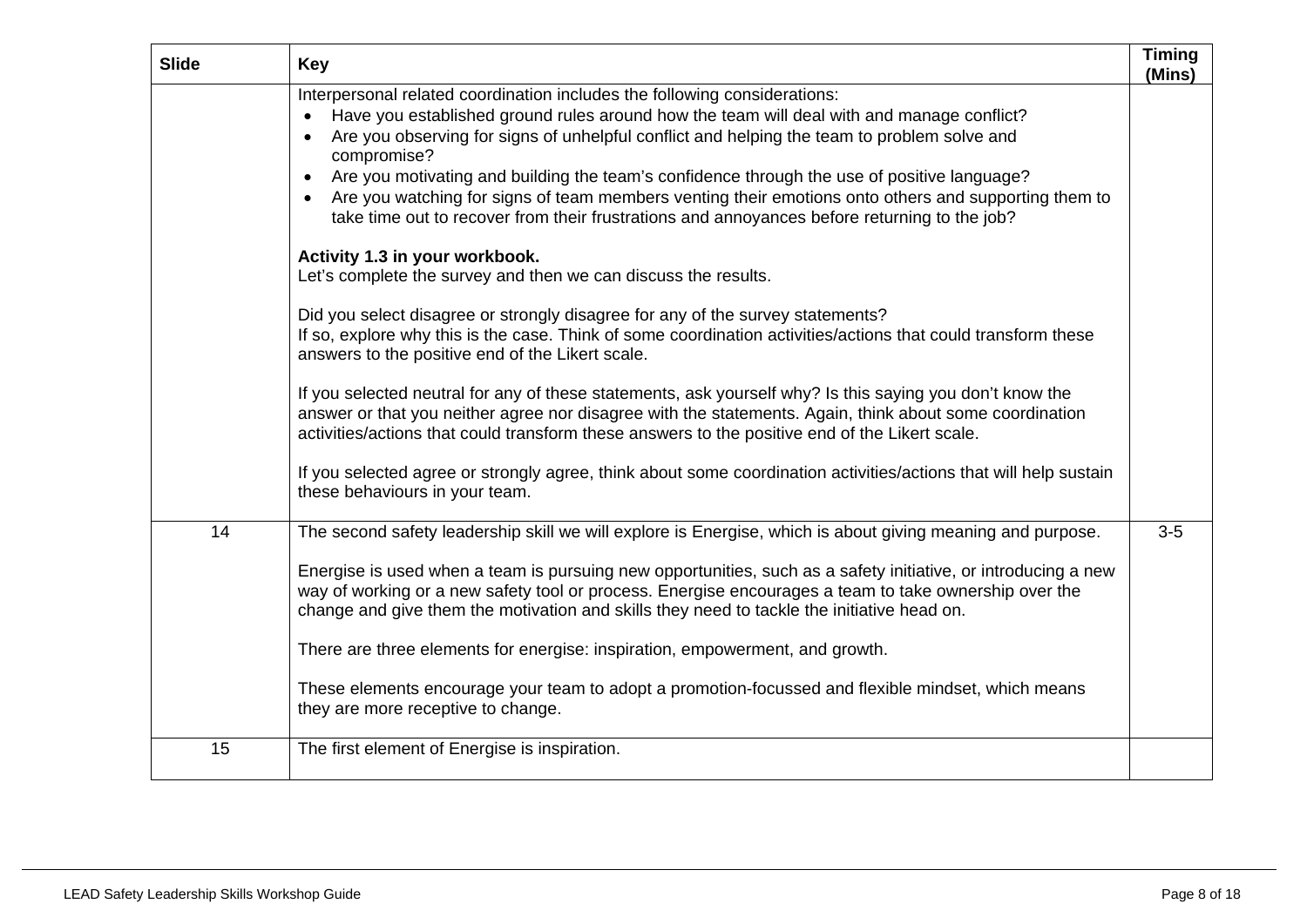| <b>Slide</b> | Key                                                                                                                                                                                                                                                                                                                                                                                                                                                                                                                                                                                                                                                                                                                                                                                                                                                                                                                                                                                                                                                                                                                                                                                                                                                                                                                                                                                                                                                | <b>Timing</b><br>(Mins) |
|--------------|----------------------------------------------------------------------------------------------------------------------------------------------------------------------------------------------------------------------------------------------------------------------------------------------------------------------------------------------------------------------------------------------------------------------------------------------------------------------------------------------------------------------------------------------------------------------------------------------------------------------------------------------------------------------------------------------------------------------------------------------------------------------------------------------------------------------------------------------------------------------------------------------------------------------------------------------------------------------------------------------------------------------------------------------------------------------------------------------------------------------------------------------------------------------------------------------------------------------------------------------------------------------------------------------------------------------------------------------------------------------------------------------------------------------------------------------------|-------------------------|
|              | Interpersonal related coordination includes the following considerations:<br>Have you established ground rules around how the team will deal with and manage conflict?<br>Are you observing for signs of unhelpful conflict and helping the team to problem solve and<br>compromise?<br>Are you motivating and building the team's confidence through the use of positive language?<br>$\bullet$<br>Are you watching for signs of team members venting their emotions onto others and supporting them to<br>take time out to recover from their frustrations and annoyances before returning to the job?<br>Activity 1.3 in your workbook.<br>Let's complete the survey and then we can discuss the results.<br>Did you select disagree or strongly disagree for any of the survey statements?<br>If so, explore why this is the case. Think of some coordination activities/actions that could transform these<br>answers to the positive end of the Likert scale.<br>If you selected neutral for any of these statements, ask yourself why? Is this saying you don't know the<br>answer or that you neither agree nor disagree with the statements. Again, think about some coordination<br>activities/actions that could transform these answers to the positive end of the Likert scale.<br>If you selected agree or strongly agree, think about some coordination activities/actions that will help sustain<br>these behaviours in your team. |                         |
| 14           | The second safety leadership skill we will explore is Energise, which is about giving meaning and purpose.<br>Energise is used when a team is pursuing new opportunities, such as a safety initiative, or introducing a new<br>way of working or a new safety tool or process. Energise encourages a team to take ownership over the<br>change and give them the motivation and skills they need to tackle the initiative head on.<br>There are three elements for energise: inspiration, empowerment, and growth.<br>These elements encourage your team to adopt a promotion-focussed and flexible mindset, which means<br>they are more receptive to change.                                                                                                                                                                                                                                                                                                                                                                                                                                                                                                                                                                                                                                                                                                                                                                                     | $3-5$                   |
| 15           | The first element of Energise is inspiration.                                                                                                                                                                                                                                                                                                                                                                                                                                                                                                                                                                                                                                                                                                                                                                                                                                                                                                                                                                                                                                                                                                                                                                                                                                                                                                                                                                                                      |                         |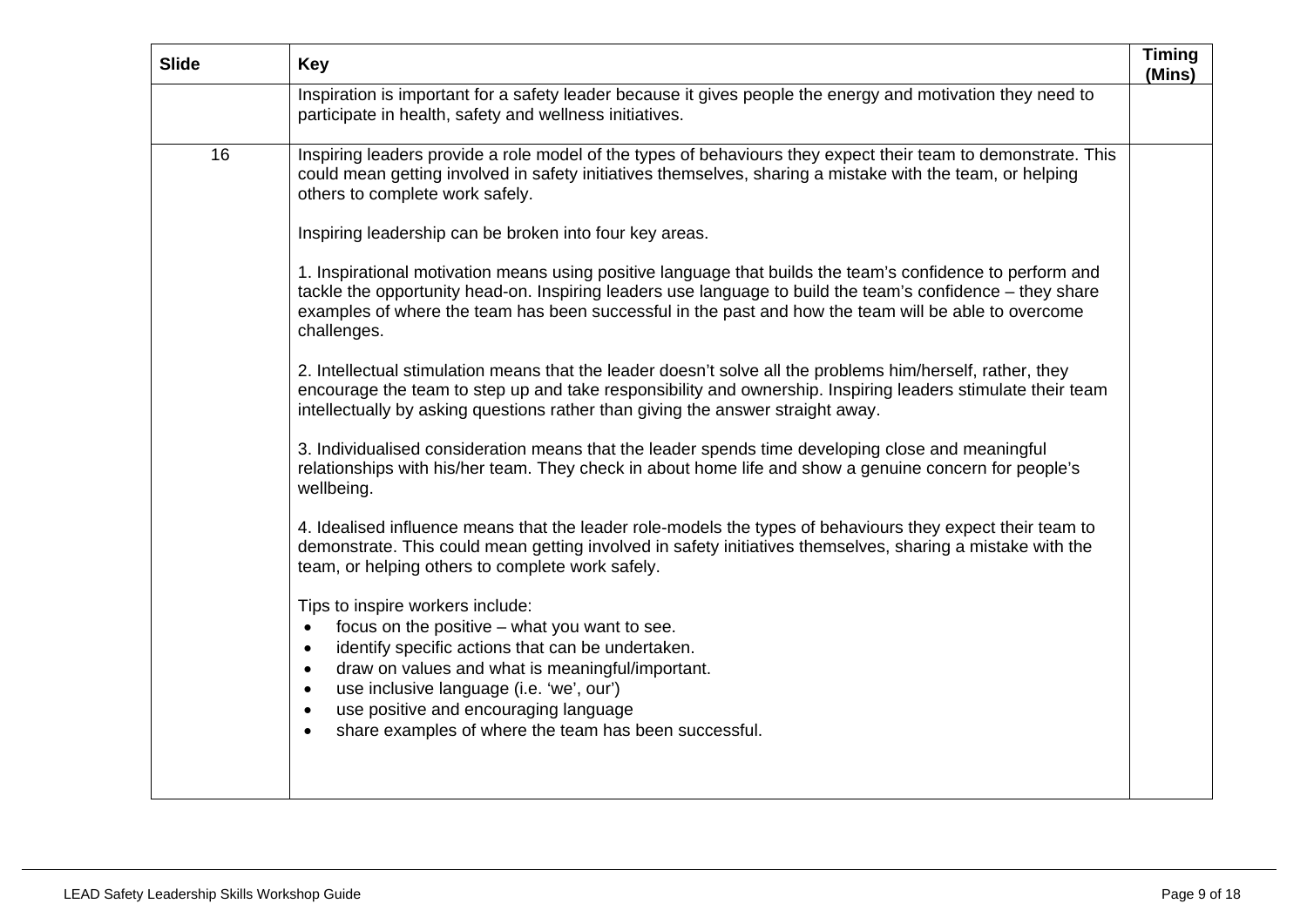| <b>Slide</b> | <b>Key</b>                                                                                                                                                                                                                                                                                                                                                                                                             | <b>Timing</b><br>(Mins) |
|--------------|------------------------------------------------------------------------------------------------------------------------------------------------------------------------------------------------------------------------------------------------------------------------------------------------------------------------------------------------------------------------------------------------------------------------|-------------------------|
|              | Inspiration is important for a safety leader because it gives people the energy and motivation they need to<br>participate in health, safety and wellness initiatives.                                                                                                                                                                                                                                                 |                         |
| 16           | Inspiring leaders provide a role model of the types of behaviours they expect their team to demonstrate. This<br>could mean getting involved in safety initiatives themselves, sharing a mistake with the team, or helping<br>others to complete work safely.                                                                                                                                                          |                         |
|              | Inspiring leadership can be broken into four key areas.                                                                                                                                                                                                                                                                                                                                                                |                         |
|              | 1. Inspirational motivation means using positive language that builds the team's confidence to perform and<br>tackle the opportunity head-on. Inspiring leaders use language to build the team's confidence - they share<br>examples of where the team has been successful in the past and how the team will be able to overcome<br>challenges.                                                                        |                         |
|              | 2. Intellectual stimulation means that the leader doesn't solve all the problems him/herself, rather, they<br>encourage the team to step up and take responsibility and ownership. Inspiring leaders stimulate their team<br>intellectually by asking questions rather than giving the answer straight away.                                                                                                           |                         |
|              | 3. Individualised consideration means that the leader spends time developing close and meaningful<br>relationships with his/her team. They check in about home life and show a genuine concern for people's<br>wellbeing.                                                                                                                                                                                              |                         |
|              | 4. Idealised influence means that the leader role-models the types of behaviours they expect their team to<br>demonstrate. This could mean getting involved in safety initiatives themselves, sharing a mistake with the<br>team, or helping others to complete work safely.                                                                                                                                           |                         |
|              | Tips to inspire workers include:<br>focus on the positive - what you want to see.<br>$\bullet$<br>identify specific actions that can be undertaken.<br>$\bullet$<br>draw on values and what is meaningful/important.<br>$\bullet$<br>use inclusive language (i.e. 'we', our')<br>$\bullet$<br>use positive and encouraging language<br>$\bullet$<br>share examples of where the team has been successful.<br>$\bullet$ |                         |
|              |                                                                                                                                                                                                                                                                                                                                                                                                                        |                         |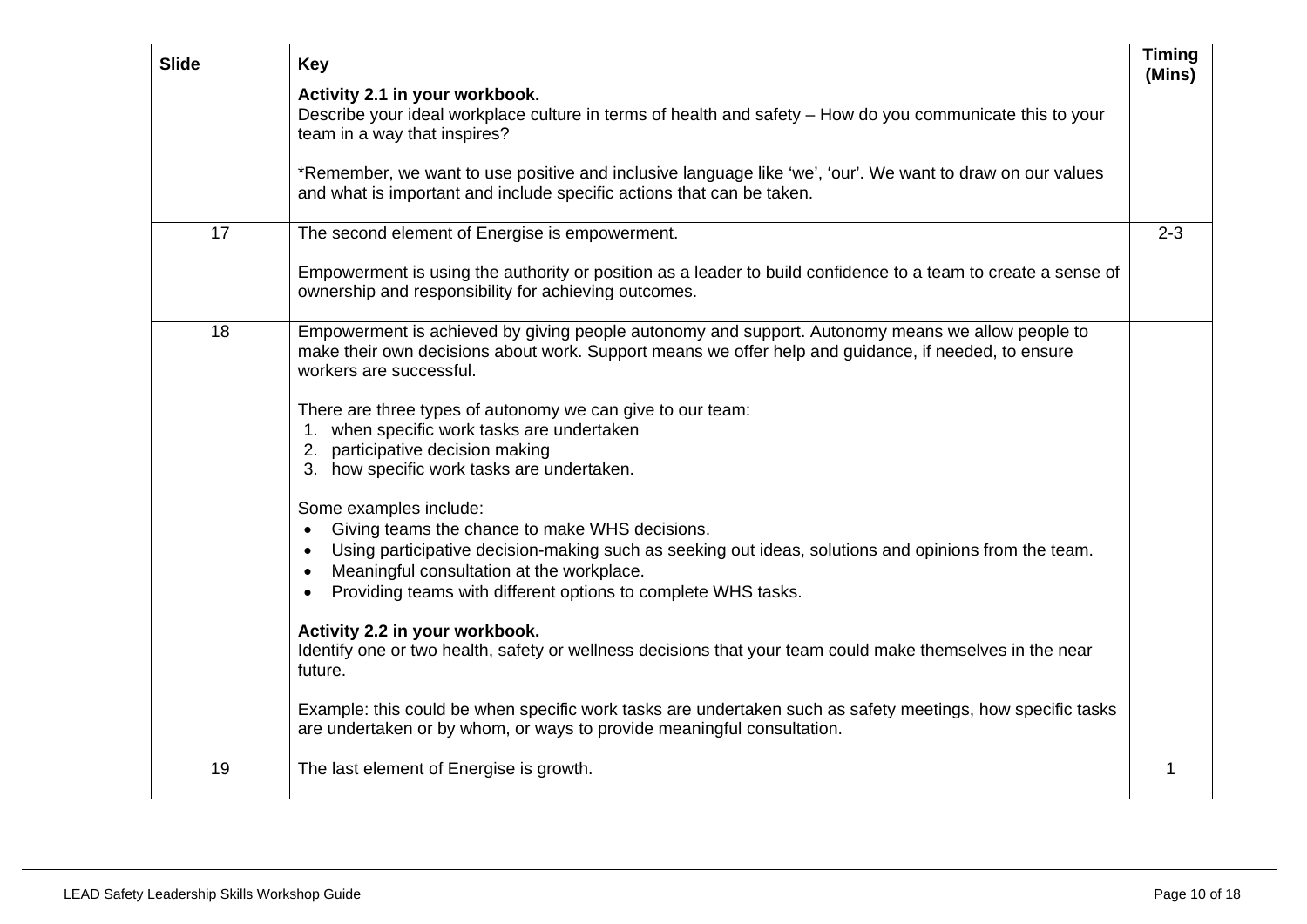| <b>Slide</b> | <b>Key</b>                                                                                                                                                                                                                                                                                     | <b>Timing</b><br>(Mins) |
|--------------|------------------------------------------------------------------------------------------------------------------------------------------------------------------------------------------------------------------------------------------------------------------------------------------------|-------------------------|
|              | Activity 2.1 in your workbook.<br>Describe your ideal workplace culture in terms of health and safety – How do you communicate this to your<br>team in a way that inspires?                                                                                                                    |                         |
|              | *Remember, we want to use positive and inclusive language like 'we', 'our'. We want to draw on our values<br>and what is important and include specific actions that can be taken.                                                                                                             |                         |
| 17           | The second element of Energise is empowerment.                                                                                                                                                                                                                                                 | $2 - 3$                 |
|              | Empowerment is using the authority or position as a leader to build confidence to a team to create a sense of<br>ownership and responsibility for achieving outcomes.                                                                                                                          |                         |
| 18           | Empowerment is achieved by giving people autonomy and support. Autonomy means we allow people to<br>make their own decisions about work. Support means we offer help and guidance, if needed, to ensure<br>workers are successful.                                                             |                         |
|              | There are three types of autonomy we can give to our team:<br>1. when specific work tasks are undertaken<br>2. participative decision making<br>3. how specific work tasks are undertaken.                                                                                                     |                         |
|              | Some examples include:<br>Giving teams the chance to make WHS decisions.<br>Using participative decision-making such as seeking out ideas, solutions and opinions from the team.<br>Meaningful consultation at the workplace.<br>Providing teams with different options to complete WHS tasks. |                         |
|              | Activity 2.2 in your workbook.<br>Identify one or two health, safety or wellness decisions that your team could make themselves in the near<br>future.                                                                                                                                         |                         |
|              | Example: this could be when specific work tasks are undertaken such as safety meetings, how specific tasks<br>are undertaken or by whom, or ways to provide meaningful consultation.                                                                                                           |                         |
| 19           | The last element of Energise is growth.                                                                                                                                                                                                                                                        | 1                       |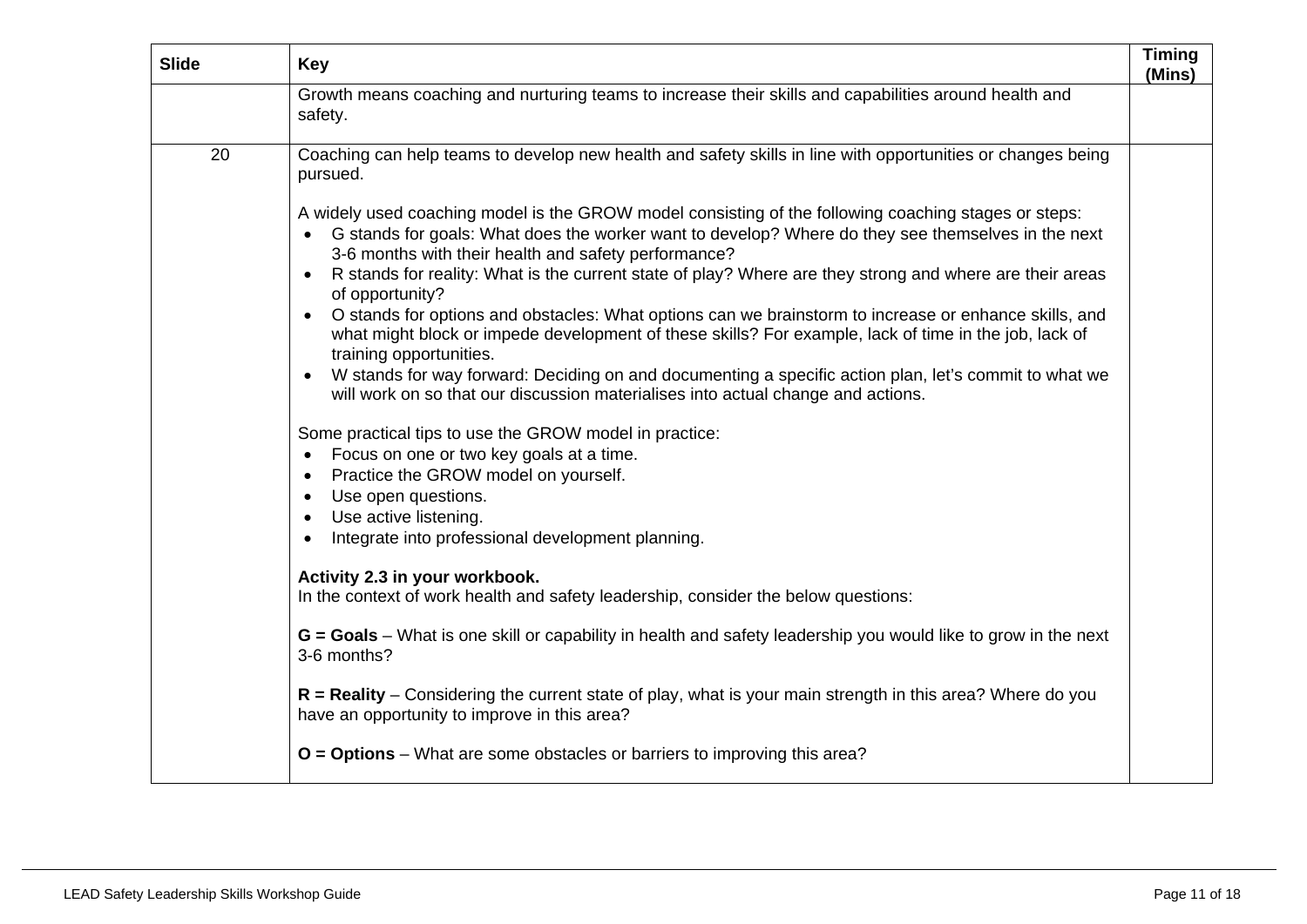| <b>Slide</b> | Key                                                                                                                                                                                                                                                                | <b>Timing</b><br>(Mins) |
|--------------|--------------------------------------------------------------------------------------------------------------------------------------------------------------------------------------------------------------------------------------------------------------------|-------------------------|
|              | Growth means coaching and nurturing teams to increase their skills and capabilities around health and<br>safety.                                                                                                                                                   |                         |
| 20           | Coaching can help teams to develop new health and safety skills in line with opportunities or changes being<br>pursued.                                                                                                                                            |                         |
|              | A widely used coaching model is the GROW model consisting of the following coaching stages or steps:<br>G stands for goals: What does the worker want to develop? Where do they see themselves in the next<br>3-6 months with their health and safety performance? |                         |
|              | R stands for reality: What is the current state of play? Where are they strong and where are their areas<br>$\bullet$<br>of opportunity?                                                                                                                           |                         |
|              | O stands for options and obstacles: What options can we brainstorm to increase or enhance skills, and<br>what might block or impede development of these skills? For example, lack of time in the job, lack of<br>training opportunities.                          |                         |
|              | W stands for way forward: Deciding on and documenting a specific action plan, let's commit to what we<br>$\bullet$<br>will work on so that our discussion materialises into actual change and actions.                                                             |                         |
|              | Some practical tips to use the GROW model in practice:                                                                                                                                                                                                             |                         |
|              | Focus on one or two key goals at a time.<br>$\bullet$<br>Practice the GROW model on yourself.<br>$\bullet$                                                                                                                                                         |                         |
|              | Use open questions.<br>$\bullet$                                                                                                                                                                                                                                   |                         |
|              | Use active listening.<br>$\bullet$                                                                                                                                                                                                                                 |                         |
|              | Integrate into professional development planning.<br>$\bullet$                                                                                                                                                                                                     |                         |
|              | Activity 2.3 in your workbook.<br>In the context of work health and safety leadership, consider the below questions:                                                                                                                                               |                         |
|              | $G =$ Goals – What is one skill or capability in health and safety leadership you would like to grow in the next<br>3-6 months?                                                                                                                                    |                         |
|              | $R$ = Reality – Considering the current state of play, what is your main strength in this area? Where do you<br>have an opportunity to improve in this area?                                                                                                       |                         |
|              | $O =$ Options – What are some obstacles or barriers to improving this area?                                                                                                                                                                                        |                         |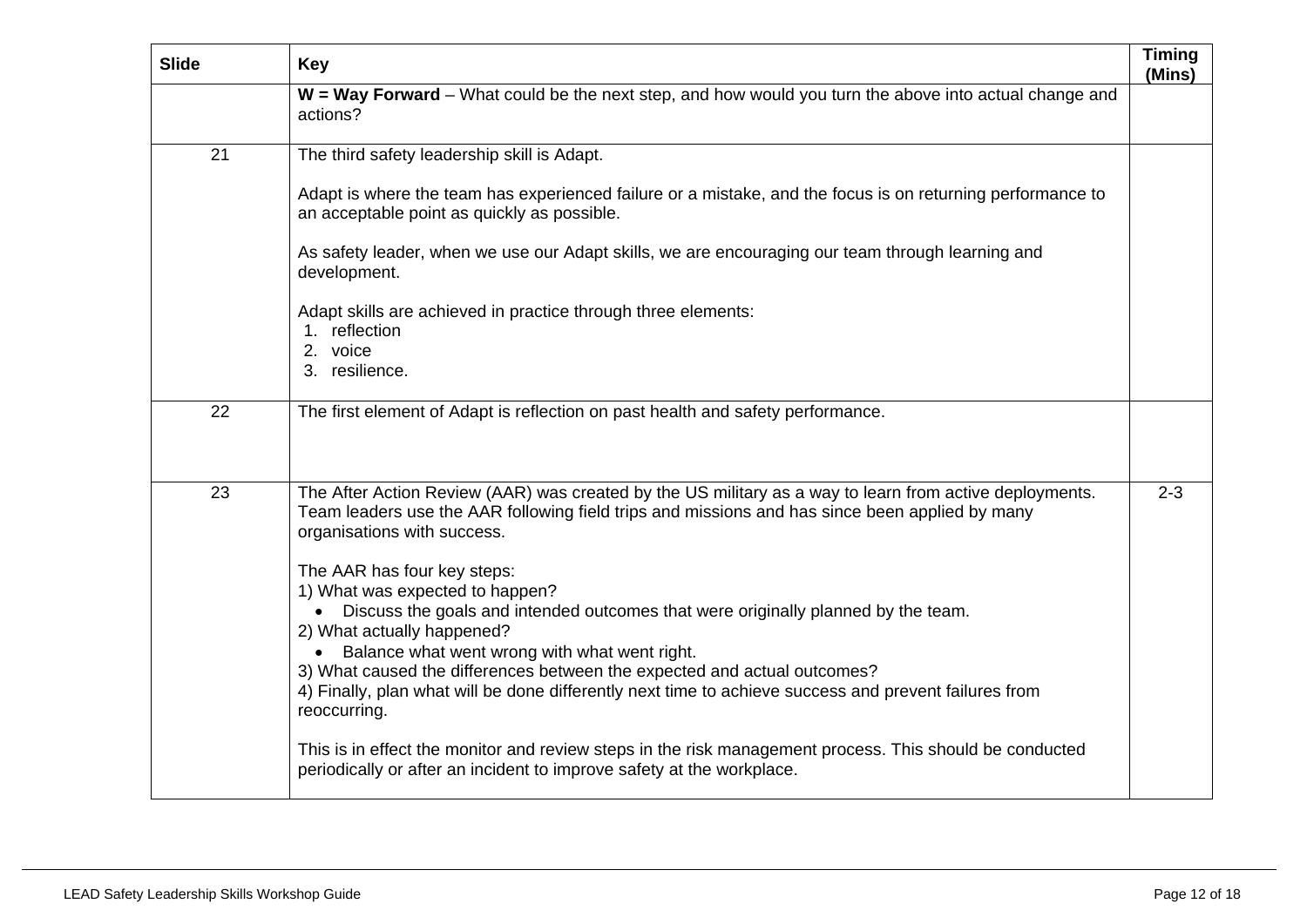| <b>Slide</b> | <b>Key</b>                                                                                                                                                                                                                               | <b>Timing</b><br>(Mins) |
|--------------|------------------------------------------------------------------------------------------------------------------------------------------------------------------------------------------------------------------------------------------|-------------------------|
|              | $W = Way Forward - What could be the next step, and how would you turn the above into actual change and$<br>actions?                                                                                                                     |                         |
| 21           | The third safety leadership skill is Adapt.                                                                                                                                                                                              |                         |
|              | Adapt is where the team has experienced failure or a mistake, and the focus is on returning performance to<br>an acceptable point as quickly as possible.                                                                                |                         |
|              | As safety leader, when we use our Adapt skills, we are encouraging our team through learning and<br>development.                                                                                                                         |                         |
|              | Adapt skills are achieved in practice through three elements:<br>1. reflection<br>2. voice                                                                                                                                               |                         |
|              | 3. resilience.                                                                                                                                                                                                                           |                         |
| 22           | The first element of Adapt is reflection on past health and safety performance.                                                                                                                                                          |                         |
| 23           | The After Action Review (AAR) was created by the US military as a way to learn from active deployments.<br>Team leaders use the AAR following field trips and missions and has since been applied by many<br>organisations with success. | $2 - 3$                 |
|              | The AAR has four key steps:                                                                                                                                                                                                              |                         |
|              | 1) What was expected to happen?<br>Discuss the goals and intended outcomes that were originally planned by the team.                                                                                                                     |                         |
|              | 2) What actually happened?                                                                                                                                                                                                               |                         |
|              | Balance what went wrong with what went right.<br>3) What caused the differences between the expected and actual outcomes?                                                                                                                |                         |
|              | 4) Finally, plan what will be done differently next time to achieve success and prevent failures from<br>reoccurring.                                                                                                                    |                         |
|              | This is in effect the monitor and review steps in the risk management process. This should be conducted<br>periodically or after an incident to improve safety at the workplace.                                                         |                         |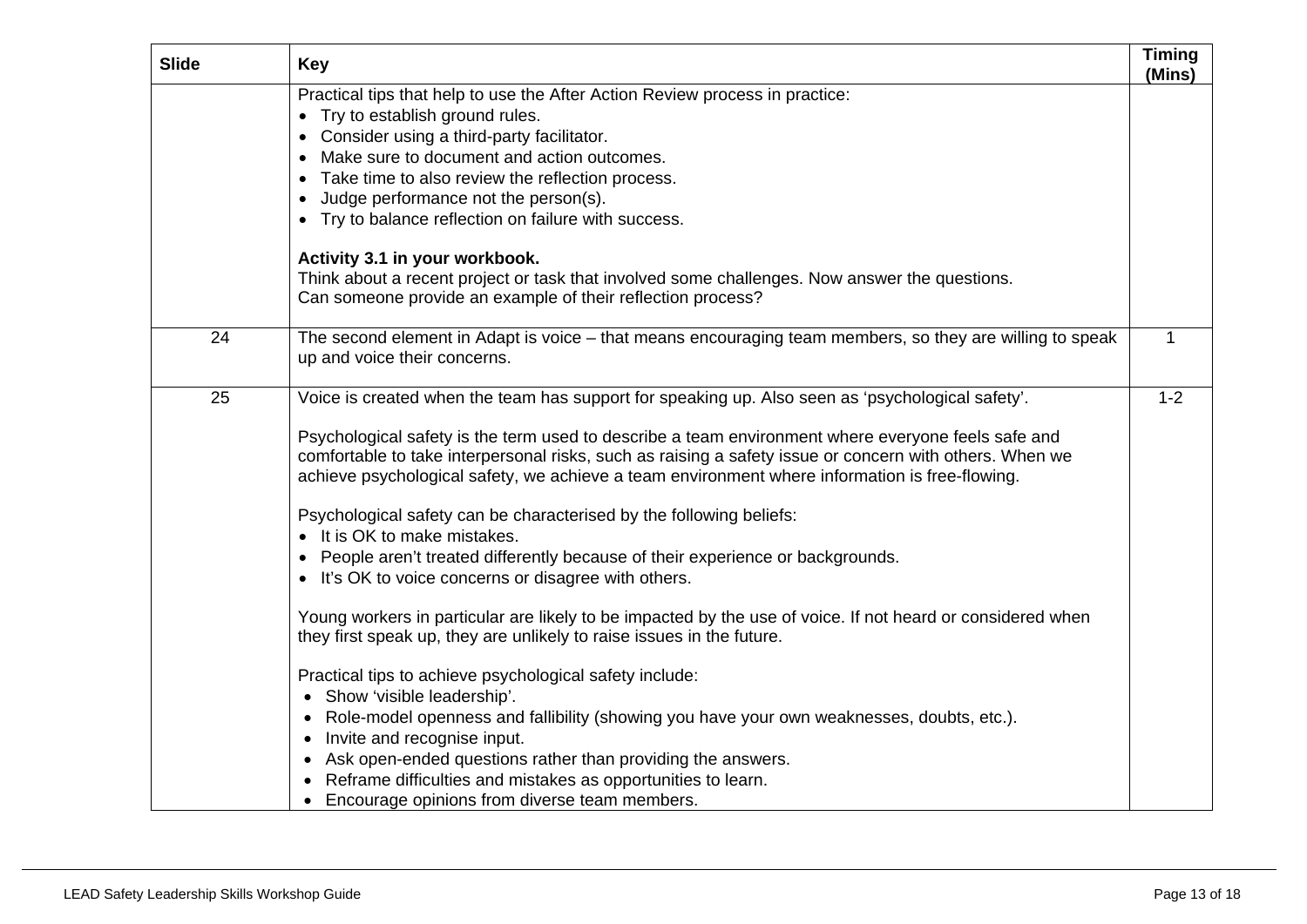| <b>Slide</b> | <b>Key</b>                                                                                                                                                                                                                                                                                                      | <b>Timing</b><br>(Mins) |
|--------------|-----------------------------------------------------------------------------------------------------------------------------------------------------------------------------------------------------------------------------------------------------------------------------------------------------------------|-------------------------|
|              | Practical tips that help to use the After Action Review process in practice:                                                                                                                                                                                                                                    |                         |
|              | • Try to establish ground rules.                                                                                                                                                                                                                                                                                |                         |
|              | • Consider using a third-party facilitator.                                                                                                                                                                                                                                                                     |                         |
|              | Make sure to document and action outcomes.                                                                                                                                                                                                                                                                      |                         |
|              | Take time to also review the reflection process.                                                                                                                                                                                                                                                                |                         |
|              | Judge performance not the person(s).                                                                                                                                                                                                                                                                            |                         |
|              | • Try to balance reflection on failure with success.                                                                                                                                                                                                                                                            |                         |
|              | Activity 3.1 in your workbook.                                                                                                                                                                                                                                                                                  |                         |
|              | Think about a recent project or task that involved some challenges. Now answer the questions.                                                                                                                                                                                                                   |                         |
|              | Can someone provide an example of their reflection process?                                                                                                                                                                                                                                                     |                         |
| 24           | The second element in Adapt is voice – that means encouraging team members, so they are willing to speak<br>up and voice their concerns.                                                                                                                                                                        | $\mathbf{1}$            |
| 25           | Voice is created when the team has support for speaking up. Also seen as 'psychological safety'.                                                                                                                                                                                                                | $1 - 2$                 |
|              | Psychological safety is the term used to describe a team environment where everyone feels safe and<br>comfortable to take interpersonal risks, such as raising a safety issue or concern with others. When we<br>achieve psychological safety, we achieve a team environment where information is free-flowing. |                         |
|              | Psychological safety can be characterised by the following beliefs:                                                                                                                                                                                                                                             |                         |
|              | • It is OK to make mistakes.                                                                                                                                                                                                                                                                                    |                         |
|              | • People aren't treated differently because of their experience or backgrounds.<br>• It's OK to voice concerns or disagree with others.                                                                                                                                                                         |                         |
|              | Young workers in particular are likely to be impacted by the use of voice. If not heard or considered when<br>they first speak up, they are unlikely to raise issues in the future.                                                                                                                             |                         |
|              | Practical tips to achieve psychological safety include:                                                                                                                                                                                                                                                         |                         |
|              | • Show 'visible leadership'.                                                                                                                                                                                                                                                                                    |                         |
|              | • Role-model openness and fallibility (showing you have your own weaknesses, doubts, etc.).                                                                                                                                                                                                                     |                         |
|              | • Invite and recognise input.                                                                                                                                                                                                                                                                                   |                         |
|              | • Ask open-ended questions rather than providing the answers.                                                                                                                                                                                                                                                   |                         |
|              | Reframe difficulties and mistakes as opportunities to learn.                                                                                                                                                                                                                                                    |                         |
|              | • Encourage opinions from diverse team members.                                                                                                                                                                                                                                                                 |                         |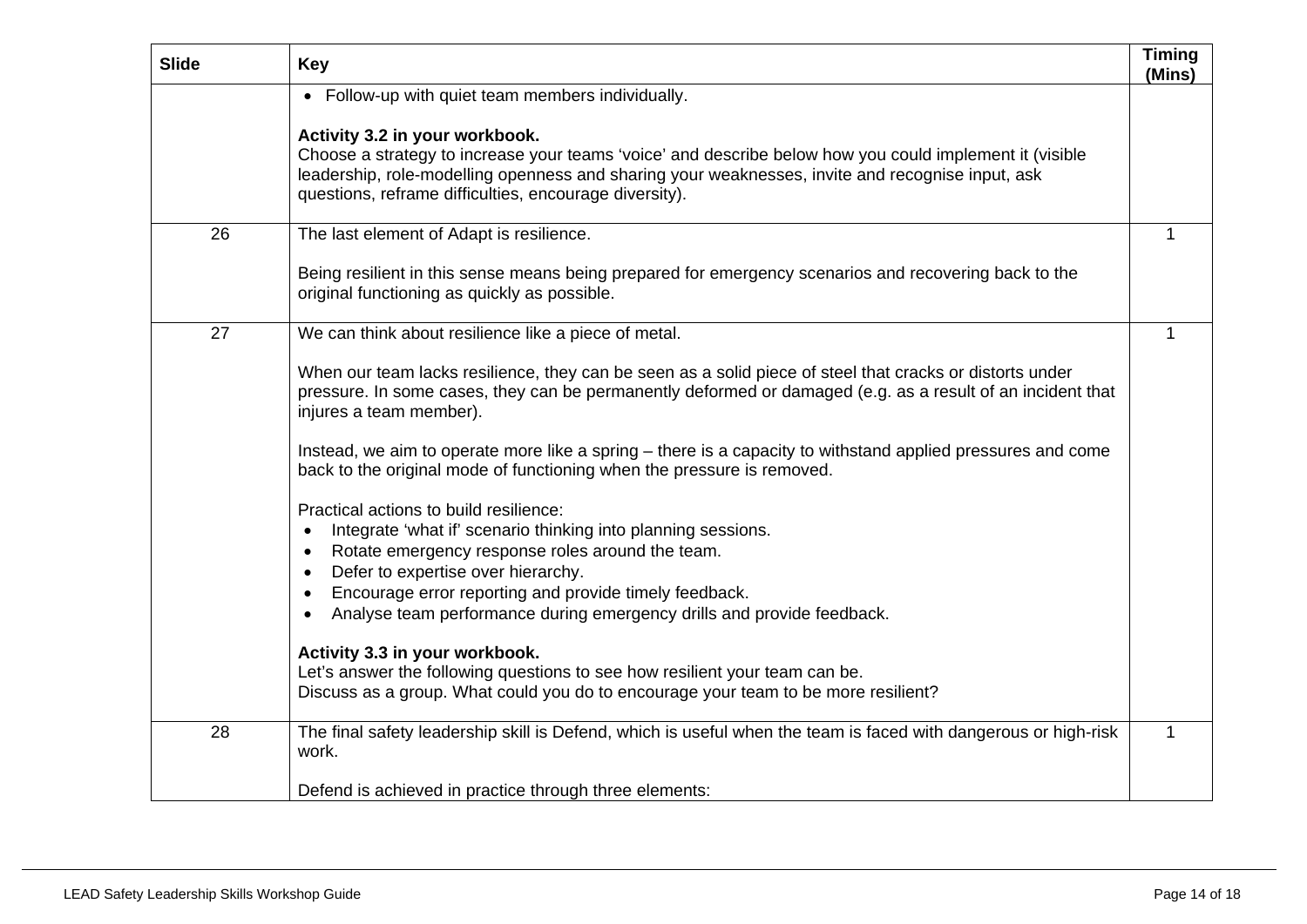| <b>Slide</b> | <b>Key</b>                                                                                                                                                                                                                                                                                                                                         | <b>Timing</b><br>(Mins) |
|--------------|----------------------------------------------------------------------------------------------------------------------------------------------------------------------------------------------------------------------------------------------------------------------------------------------------------------------------------------------------|-------------------------|
|              | • Follow-up with quiet team members individually.                                                                                                                                                                                                                                                                                                  |                         |
|              | Activity 3.2 in your workbook.<br>Choose a strategy to increase your teams 'voice' and describe below how you could implement it (visible<br>leadership, role-modelling openness and sharing your weaknesses, invite and recognise input, ask<br>questions, reframe difficulties, encourage diversity).                                            |                         |
| 26           | The last element of Adapt is resilience.                                                                                                                                                                                                                                                                                                           | 1                       |
|              | Being resilient in this sense means being prepared for emergency scenarios and recovering back to the<br>original functioning as quickly as possible.                                                                                                                                                                                              |                         |
| 27           | We can think about resilience like a piece of metal.                                                                                                                                                                                                                                                                                               |                         |
|              | When our team lacks resilience, they can be seen as a solid piece of steel that cracks or distorts under<br>pressure. In some cases, they can be permanently deformed or damaged (e.g. as a result of an incident that<br>injures a team member).                                                                                                  |                         |
|              | Instead, we aim to operate more like a spring – there is a capacity to withstand applied pressures and come<br>back to the original mode of functioning when the pressure is removed.                                                                                                                                                              |                         |
|              | Practical actions to build resilience:<br>Integrate 'what if' scenario thinking into planning sessions.<br>$\bullet$<br>Rotate emergency response roles around the team.<br>Defer to expertise over hierarchy.<br>Encourage error reporting and provide timely feedback.<br>Analyse team performance during emergency drills and provide feedback. |                         |
|              | Activity 3.3 in your workbook.<br>Let's answer the following questions to see how resilient your team can be.<br>Discuss as a group. What could you do to encourage your team to be more resilient?                                                                                                                                                |                         |
| 28           | The final safety leadership skill is Defend, which is useful when the team is faced with dangerous or high-risk<br>work.                                                                                                                                                                                                                           | $\mathbf 1$             |
|              | Defend is achieved in practice through three elements:                                                                                                                                                                                                                                                                                             |                         |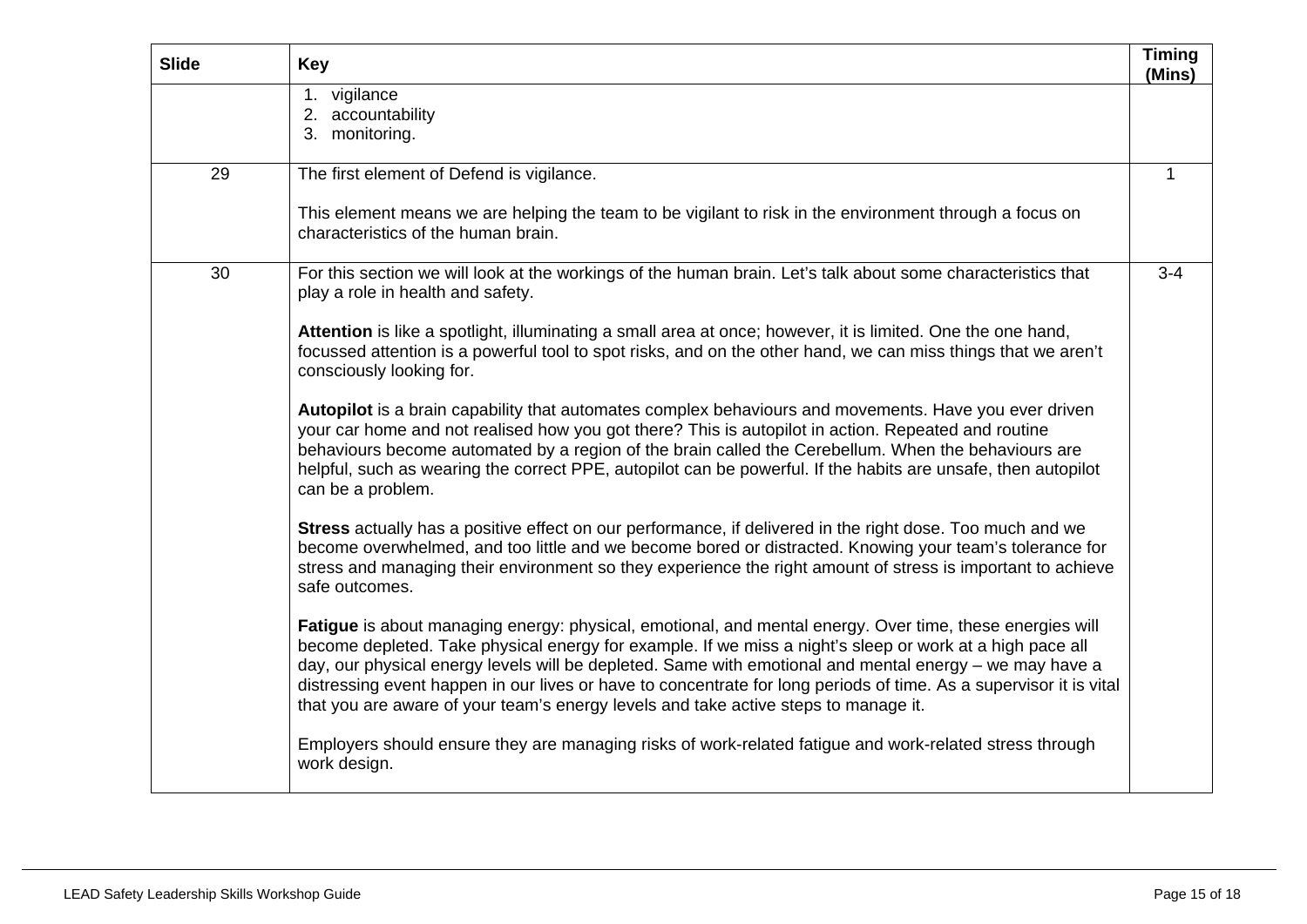| <b>Slide</b> | <b>Key</b>                                                                                                                                                                                                                                                                                                                                                                                                                                                                                                                                   | <b>Timing</b><br>(Mins) |
|--------------|----------------------------------------------------------------------------------------------------------------------------------------------------------------------------------------------------------------------------------------------------------------------------------------------------------------------------------------------------------------------------------------------------------------------------------------------------------------------------------------------------------------------------------------------|-------------------------|
|              | 1. vigilance<br>2. accountability<br>3. monitoring.                                                                                                                                                                                                                                                                                                                                                                                                                                                                                          |                         |
| 29           | The first element of Defend is vigilance.                                                                                                                                                                                                                                                                                                                                                                                                                                                                                                    | $\mathbf 1$             |
|              | This element means we are helping the team to be vigilant to risk in the environment through a focus on<br>characteristics of the human brain.                                                                                                                                                                                                                                                                                                                                                                                               |                         |
| 30           | For this section we will look at the workings of the human brain. Let's talk about some characteristics that<br>play a role in health and safety.                                                                                                                                                                                                                                                                                                                                                                                            | $3 - 4$                 |
|              | Attention is like a spotlight, illuminating a small area at once; however, it is limited. One the one hand,<br>focussed attention is a powerful tool to spot risks, and on the other hand, we can miss things that we aren't<br>consciously looking for.                                                                                                                                                                                                                                                                                     |                         |
|              | Autopilot is a brain capability that automates complex behaviours and movements. Have you ever driven<br>your car home and not realised how you got there? This is autopilot in action. Repeated and routine<br>behaviours become automated by a region of the brain called the Cerebellum. When the behaviours are<br>helpful, such as wearing the correct PPE, autopilot can be powerful. If the habits are unsafe, then autopilot<br>can be a problem.                                                                                    |                         |
|              | Stress actually has a positive effect on our performance, if delivered in the right dose. Too much and we<br>become overwhelmed, and too little and we become bored or distracted. Knowing your team's tolerance for<br>stress and managing their environment so they experience the right amount of stress is important to achieve<br>safe outcomes.                                                                                                                                                                                        |                         |
|              | Fatigue is about managing energy: physical, emotional, and mental energy. Over time, these energies will<br>become depleted. Take physical energy for example. If we miss a night's sleep or work at a high pace all<br>day, our physical energy levels will be depleted. Same with emotional and mental energy - we may have a<br>distressing event happen in our lives or have to concentrate for long periods of time. As a supervisor it is vital<br>that you are aware of your team's energy levels and take active steps to manage it. |                         |
|              | Employers should ensure they are managing risks of work-related fatigue and work-related stress through<br>work design.                                                                                                                                                                                                                                                                                                                                                                                                                      |                         |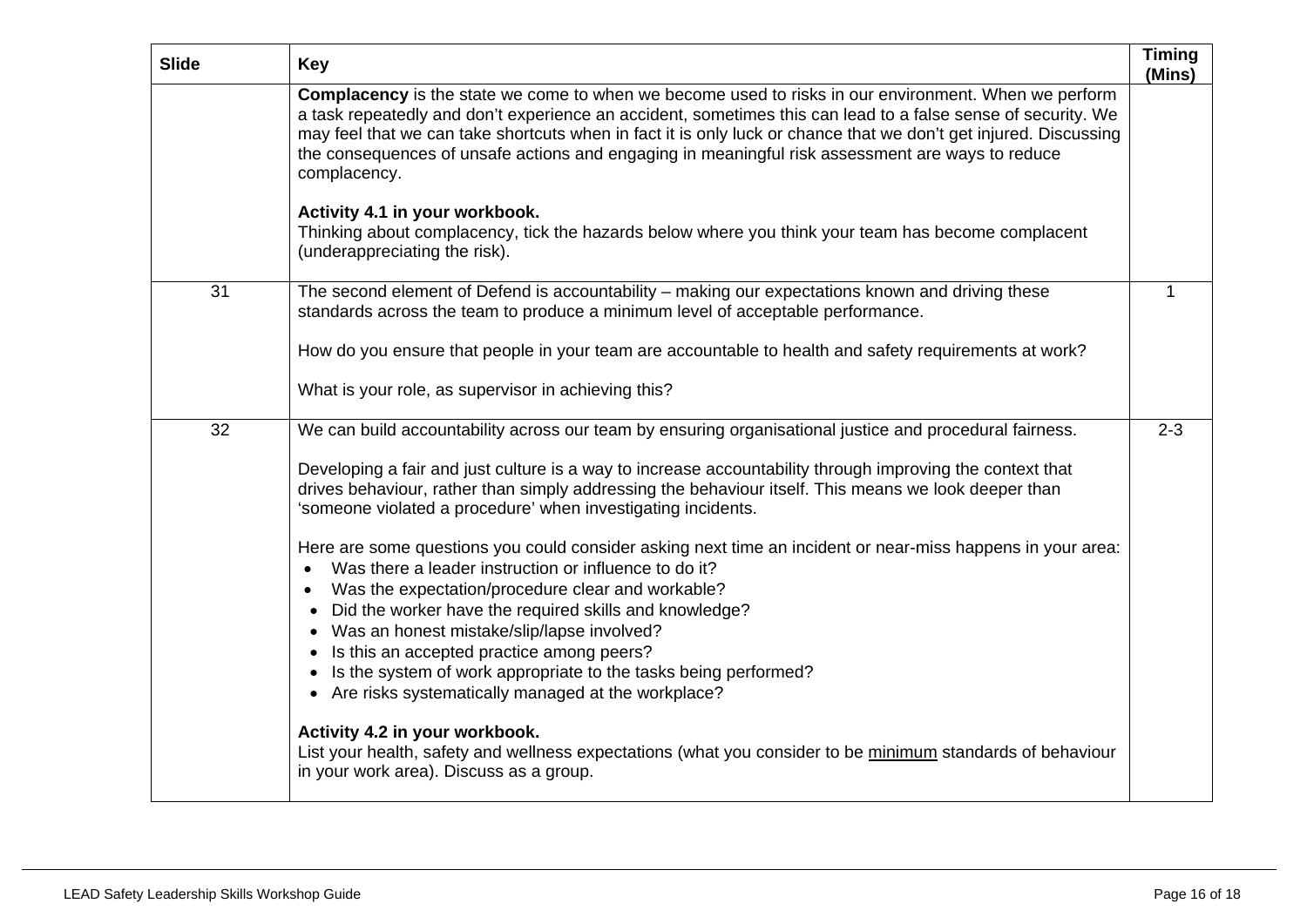| <b>Slide</b> | <b>Key</b>                                                                                                                                                                                                                                                                                                                                                                                                                                                                                            | <b>Timing</b><br>(Mins) |
|--------------|-------------------------------------------------------------------------------------------------------------------------------------------------------------------------------------------------------------------------------------------------------------------------------------------------------------------------------------------------------------------------------------------------------------------------------------------------------------------------------------------------------|-------------------------|
|              | <b>Complacency</b> is the state we come to when we become used to risks in our environment. When we perform<br>a task repeatedly and don't experience an accident, sometimes this can lead to a false sense of security. We<br>may feel that we can take shortcuts when in fact it is only luck or chance that we don't get injured. Discussing<br>the consequences of unsafe actions and engaging in meaningful risk assessment are ways to reduce<br>complacency.<br>Activity 4.1 in your workbook. |                         |
|              | Thinking about complacency, tick the hazards below where you think your team has become complacent<br>(underappreciating the risk).                                                                                                                                                                                                                                                                                                                                                                   |                         |
| 31           | The second element of Defend is accountability - making our expectations known and driving these<br>standards across the team to produce a minimum level of acceptable performance.                                                                                                                                                                                                                                                                                                                   | 1                       |
|              | How do you ensure that people in your team are accountable to health and safety requirements at work?                                                                                                                                                                                                                                                                                                                                                                                                 |                         |
|              | What is your role, as supervisor in achieving this?                                                                                                                                                                                                                                                                                                                                                                                                                                                   |                         |
| 32           | We can build accountability across our team by ensuring organisational justice and procedural fairness.                                                                                                                                                                                                                                                                                                                                                                                               | $2 - 3$                 |
|              | Developing a fair and just culture is a way to increase accountability through improving the context that<br>drives behaviour, rather than simply addressing the behaviour itself. This means we look deeper than<br>'someone violated a procedure' when investigating incidents.                                                                                                                                                                                                                     |                         |
|              | Here are some questions you could consider asking next time an incident or near-miss happens in your area:<br>Was there a leader instruction or influence to do it?<br>Was the expectation/procedure clear and workable?                                                                                                                                                                                                                                                                              |                         |
|              | Did the worker have the required skills and knowledge?<br>$\bullet$<br>Was an honest mistake/slip/lapse involved?<br>$\bullet$                                                                                                                                                                                                                                                                                                                                                                        |                         |
|              | Is this an accepted practice among peers?<br>$\bullet$                                                                                                                                                                                                                                                                                                                                                                                                                                                |                         |
|              | Is the system of work appropriate to the tasks being performed?<br>$\bullet$<br>Are risks systematically managed at the workplace?<br>$\bullet$                                                                                                                                                                                                                                                                                                                                                       |                         |
|              | Activity 4.2 in your workbook.<br>List your health, safety and wellness expectations (what you consider to be minimum standards of behaviour<br>in your work area). Discuss as a group.                                                                                                                                                                                                                                                                                                               |                         |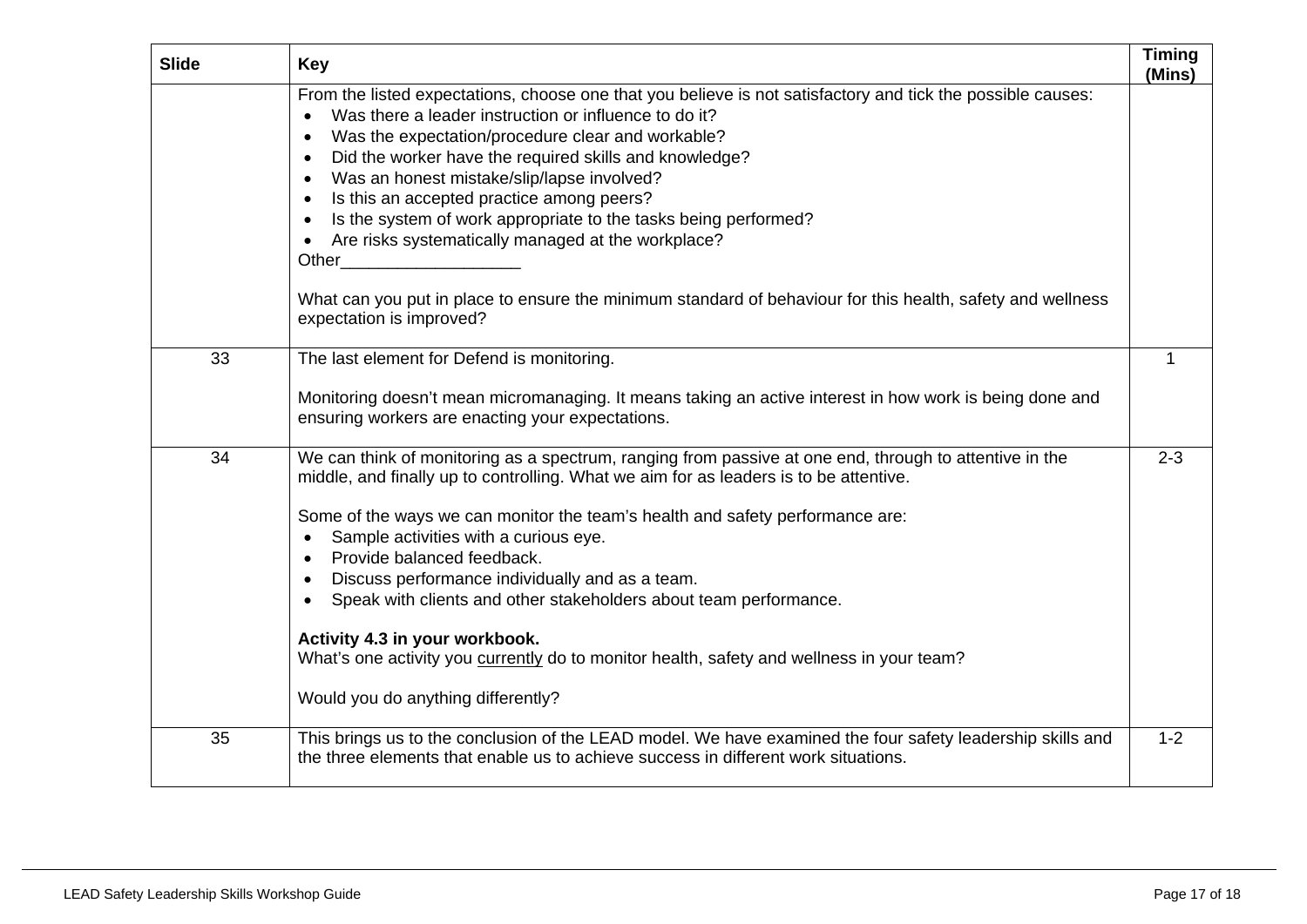| <b>Slide</b> | <b>Key</b>                                                                                                                                                                                                                                                                                                                                                                                                                                                                                                                                                                                                                                                                                                                                                                                                                                                                                                                 | <b>Timing</b><br>(Mins) |
|--------------|----------------------------------------------------------------------------------------------------------------------------------------------------------------------------------------------------------------------------------------------------------------------------------------------------------------------------------------------------------------------------------------------------------------------------------------------------------------------------------------------------------------------------------------------------------------------------------------------------------------------------------------------------------------------------------------------------------------------------------------------------------------------------------------------------------------------------------------------------------------------------------------------------------------------------|-------------------------|
|              | From the listed expectations, choose one that you believe is not satisfactory and tick the possible causes:<br>Was there a leader instruction or influence to do it?<br>Was the expectation/procedure clear and workable?<br>Did the worker have the required skills and knowledge?<br>$\bullet$<br>Was an honest mistake/slip/lapse involved?<br>$\bullet$<br>Is this an accepted practice among peers?<br>$\bullet$<br>Is the system of work appropriate to the tasks being performed?<br>Are risks systematically managed at the workplace?<br>Other the contract of the contract of the contract of the contract of the contract of the contract of the contract of the contract of the contract of the contract of the contract of the contract of the contract of the cont<br>What can you put in place to ensure the minimum standard of behaviour for this health, safety and wellness<br>expectation is improved? |                         |
| 33           | The last element for Defend is monitoring.                                                                                                                                                                                                                                                                                                                                                                                                                                                                                                                                                                                                                                                                                                                                                                                                                                                                                 | $\mathbf 1$             |
|              | Monitoring doesn't mean micromanaging. It means taking an active interest in how work is being done and<br>ensuring workers are enacting your expectations.                                                                                                                                                                                                                                                                                                                                                                                                                                                                                                                                                                                                                                                                                                                                                                |                         |
| 34           | We can think of monitoring as a spectrum, ranging from passive at one end, through to attentive in the<br>middle, and finally up to controlling. What we aim for as leaders is to be attentive.<br>Some of the ways we can monitor the team's health and safety performance are:<br>Sample activities with a curious eye.<br>$\bullet$<br>Provide balanced feedback.<br>Discuss performance individually and as a team.<br>Speak with clients and other stakeholders about team performance.<br>Activity 4.3 in your workbook.<br>What's one activity you currently do to monitor health, safety and wellness in your team?<br>Would you do anything differently?                                                                                                                                                                                                                                                          | $2 - 3$                 |
| 35           | This brings us to the conclusion of the LEAD model. We have examined the four safety leadership skills and<br>the three elements that enable us to achieve success in different work situations.                                                                                                                                                                                                                                                                                                                                                                                                                                                                                                                                                                                                                                                                                                                           | $1 - 2$                 |